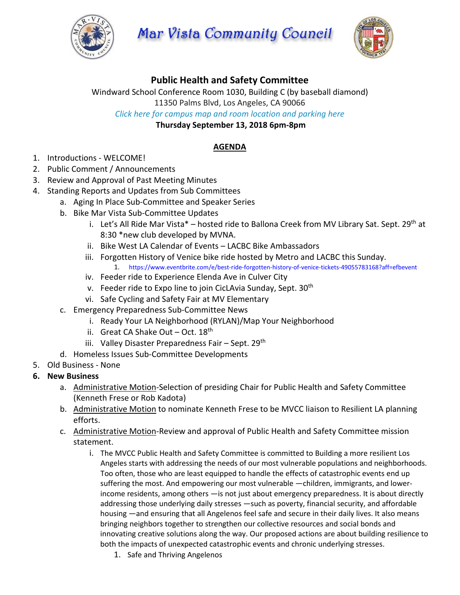

**Mar Vista Community Council** 



# **Public Health and Safety Committee**

Windward School Conference Room 1030, Building C (by baseball diamond)

11350 Palms Blvd, Los Angeles, CA 90066

*Click here for campus map and room [location](https://windwardschool.myschoolapp.com/ftpimages/176/download/download_1671327.pdf) and parking here*

**Thursday September 13, 2018 6pm-8pm**

### **AGENDA**

- 1. Introductions WELCOME!
- 2. Public Comment / Announcements
- 3. Review and Approval of Past Meeting Minutes
- 4. Standing Reports and Updates from Sub Committees
	- a. Aging In Place Sub-Committee and Speaker Series
	- b. Bike Mar Vista Sub-Committee Updates
		- i. Let's All Ride Mar Vista\* hosted ride to Ballona Creek from MV Library Sat. Sept. 29<sup>th</sup> at 8:30 \*new club developed by MVNA.
		- ii. Bike West LA Calendar of Events LACBC Bike Ambassadors
		- iii. Forgotten History of Venice bike ride hosted by Metro and LACBC this Sunday. 1. https://www.eventbrite.com/e/best-ride-forgotten-history-of-venice-tickets-49055783168?aff=efbevent
		- iv. Feeder ride to Experience Elenda Ave in Culver City
		- v. Feeder ride to Expo line to join CicLAvia Sunday, Sept.  $30<sup>th</sup>$
		- vi. Safe Cycling and Safety Fair at MV Elementary
	- c. Emergency Preparedness Sub-Committee News
		- i. Ready Your LA Neighborhood (RYLAN)/Map Your Neighborhood
		- ii. Great CA Shake Out Oct. 18<sup>th</sup>
		- iii. Valley Disaster Preparedness Fair Sept. 29<sup>th</sup>
	- d. Homeless Issues Sub-Committee Developments
- 5. Old Business None
- **6. New Business**
	- a. Administrative Motion-Selection of presiding Chair for Public Health and Safety Committee (Kenneth Frese or Rob Kadota)
	- b. Administrative Motion to nominate Kenneth Frese to be MVCC liaison to Resilient LA planning efforts.
	- c. Administrative Motion-Review and approval of Public Health and Safety Committee mission statement.
		- i. The MVCC Public Health and Safety Committee is committed to Building a more resilient Los Angeles starts with addressing the needs of our most vulnerable populations and neighborhoods. Too often, those who are least equipped to handle the effects of catastrophic events end up suffering the most. And empowering our most vulnerable —children, immigrants, and lowerincome residents, among others —is not just about emergency preparedness. It is about directly addressing those underlying daily stresses —such as poverty, financial security, and affordable housing —and ensuring that all Angelenos feel safe and secure in their daily lives. It also means bringing neighbors together to strengthen our collective resources and social bonds and innovating creative solutions along the way. Our proposed actions are about building resilience to both the impacts of unexpected catastrophic events and chronic underlying stresses.
			- 1. Safe and Thriving Angelenos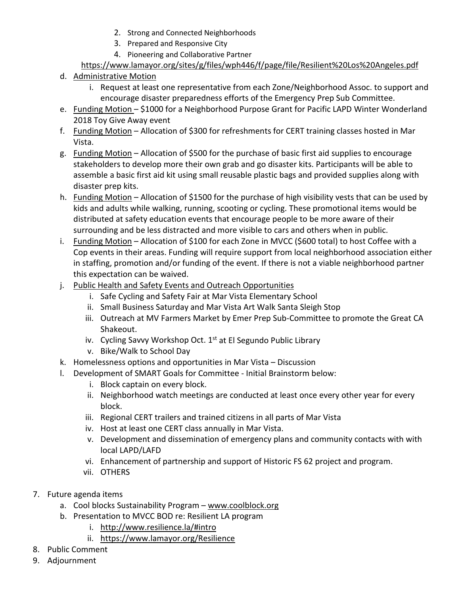- 2. Strong and Connected Neighborhoods
- 3. Prepared and Responsive City
- 4. Pioneering and Collaborative Partner

## <https://www.lamayor.org/sites/g/files/wph446/f/page/file/Resilient%20Los%20Angeles.pdf>

- d. Administrative Motion
	- i. Request at least one representative from each Zone/Neighborhood Assoc. to support and encourage disaster preparedness efforts of the Emergency Prep Sub Committee.
- e. Funding Motion \$1000 for a Neighborhood Purpose Grant for Pacific LAPD Winter Wonderland 2018 Toy Give Away event
- f. Funding Motion Allocation of \$300 for refreshments for CERT training classes hosted in Mar Vista.
- g. Funding Motion Allocation of \$500 for the purchase of basic first aid supplies to encourage stakeholders to develop more their own grab and go disaster kits. Participants will be able to assemble a basic first aid kit using small reusable plastic bags and provided supplies along with disaster prep kits.
- h. Funding Motion Allocation of \$1500 for the purchase of high visibility vests that can be used by kids and adults while walking, running, scooting or cycling. These promotional items would be distributed at safety education events that encourage people to be more aware of their surrounding and be less distracted and more visible to cars and others when in public.
- i. Funding Motion Allocation of \$100 for each Zone in MVCC (\$600 total) to host Coffee with a Cop events in their areas. Funding will require support from local neighborhood association either in staffing, promotion and/or funding of the event. If there is not a viable neighborhood partner this expectation can be waived.
- j. Public Health and Safety Events and Outreach Opportunities
	- i. Safe Cycling and Safety Fair at Mar Vista Elementary School
	- ii. Small Business Saturday and Mar Vista Art Walk Santa Sleigh Stop
	- iii. Outreach at MV Farmers Market by Emer Prep Sub-Committee to promote the Great CA Shakeout.
	- iv. Cycling Savvy Workshop Oct.  $1<sup>st</sup>$  at El Segundo Public Library
	- v. Bike/Walk to School Day
- k. Homelessness options and opportunities in Mar Vista Discussion
- l. Development of SMART Goals for Committee Initial Brainstorm below:
	- i. Block captain on every block.
	- ii. Neighborhood watch meetings are conducted at least once every other year for every block.
	- iii. Regional CERT trailers and trained citizens in all parts of Mar Vista
	- iv. Host at least one CERT class annually in Mar Vista.
	- v. Development and dissemination of emergency plans and community contacts with with local LAPD/LAFD
	- vi. Enhancement of partnership and support of Historic FS 62 project and program.
	- vii. OTHERS
- 7. Future agenda items
	- a. Cool blocks Sustainability Program [www.coolblock.org](http://www.coolblock.org/)
	- b. Presentation to MVCC BOD re: Resilient LA program
		- i. <http://www.resilience.la/#intro>
		- ii. <https://www.lamayor.org/Resilience>
- 8. Public Comment
- 9. Adjournment